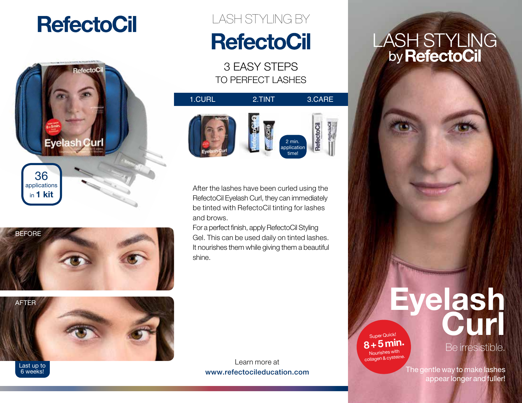## **RefectoCil**







6 weeks!

## LASH STYLING BY **RefectoCil**

3 EASY STEPS TO PERFECT LASHES



After the lashes have been curled using the RefectoCil Eyelash Curl, they can immediately be tinted with RefectoCil tinting for lashes and brows.

For a perfect finish, apply RefectoCil Styling Gel. This can be used daily on tinted lashes. It nourishes them while giving them a beautiful shine.

Learn more at www.refectocileducation.com

# LASH STYLING<br>by **RefectoCil**



 **8+5min.** Nourishes with collagen & cysteine.

#### Be irresistible.

The gentle way to make lashes appear longer and fuller!